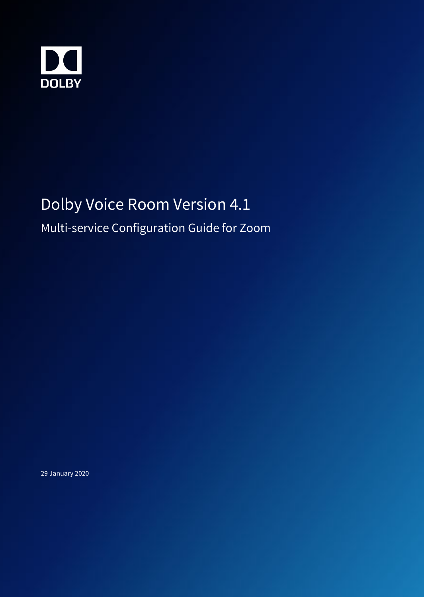

# Dolby Voice Room Version 4.1

Multi-service Configuration Guide for Zoom

29 January 2020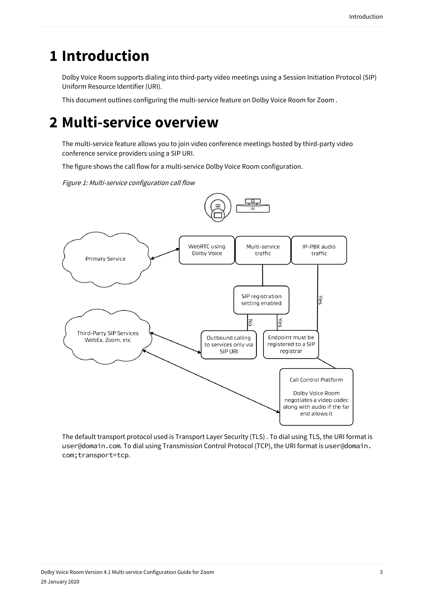## **1 Introduction**

Dolby Voice Room supports dialing into third-party video meetings using a Session Initiation Protocol (SIP) Uniform Resource Identifier (URI).

This document outlines configuring the multi-service feature on Dolby Voice Room for Zoom .

## **2 Multi-service overview**

The multi-service feature allows you to join video conference meetings hosted by third-party video conference service providers using a SIP URI.

The figure shows the call flow for a multi-service Dolby Voice Room configuration.

Figure 1: Multi-service configuration call flow





The default transport protocol used is Transport Layer Security (TLS) . To dial using TLS, the URI format is user@domain.com. To dial using Transmission Control Protocol (TCP), the URI format is user@domain. com;transport=tcp.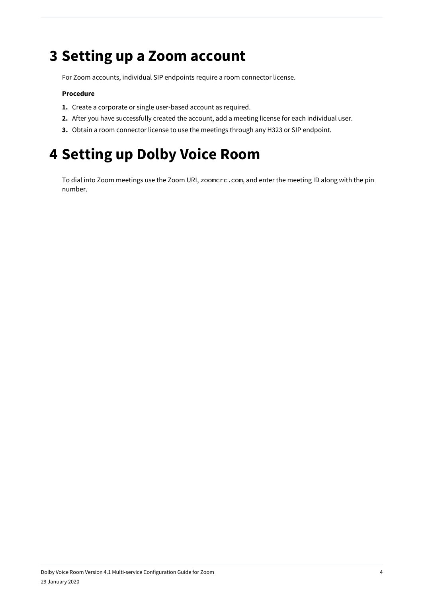#### **3 Setting up a Zoom account**

For Zoom accounts, individual SIP endpoints require a room connector license.

#### **Procedure**

- **1.** Create a corporate or single user-based account as required.
- **2.** After you have successfully created the account, add a meeting license for each individual user.
- **3.** Obtain a room connector license to use the meetings through any H323 or SIP endpoint.

## **4 Setting up Dolby Voice Room**

To dial into Zoom meetings use the Zoom URI, zoomcrc.com, and enter the meeting ID along with the pin number.